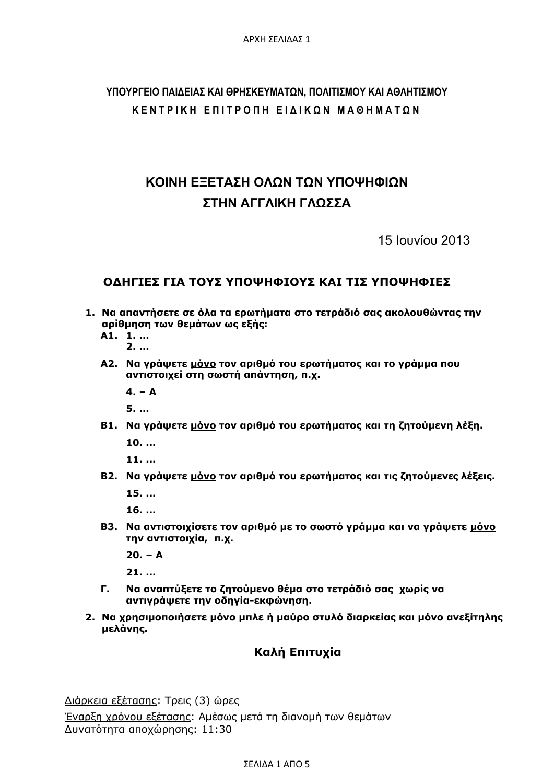## **ΥΠΟΥΡΓΕΙΟ ΠΑΙΔΕΙΑΣ ΚΑΙ ΘΡΗΣΚΕΥΜΑΤΩΝ, ΠΟΛΙΤΙΣΜΟΥ ΚΑΙ ΑΘΛΗΤΙΣΜΟΥ ΚΕΝΤΡΙΚΗ ΕΠΙΤΡΟΠΗ ΕΙΔΙΚΩΝ ΜΑΘΗΜΑΤΩΝ**

# **ΚΟΙΝΗ ΕΞΕΤΑΣΗ ΟΛΩΝ ΤΩΝ ΥΠΟΨΗΦΙΩΝ ΣΤΗΝ ΑΓΓΛΙΚΗ ΓΛΩΣΣΑ**

15 Ιουνίου 2013

### **ΟΔΗΓΙΕΣ ΓΙΑ ΤΟΥΣ ΥΠΟΨΗΦΙΟΥΣ ΚΑΙ ΤΙΣ ΥΠΟΨΗΦΙΕΣ**

- **1. Να απαντήσετε σε όλα τα ερωτήματα στο τετράδιό σας ακολουθώντας την αρίθμηση των θεμάτων ως εξής:** 
	- **Α1. 1. ... 2. ...**
	- **Α2. Να γράψετε μόνο τον αριθμό του ερωτήματος και το γράμμα που αντιστοιχεί στη σωστή απάντηση, π.χ.** 
		- $4. A$

 **5. ...** 

**Β1. Να γράψετε μόνο τον αριθμό του ερωτήματος και τη ζητούμενη λέξη.** 

 **10. ...** 

 **11. ...** 

**Β2. Να γράψετε μόνο τον αριθμό του ερωτήματος και τις ζητούμενες λέξεις.** 

 **15. ...** 

 **16. ...** 

**Β3. Να αντιστοιχίσετε τον αριθμό με το σωστό γράμμα και να γράψετε μόνο την αντιστοιχία, π.χ.** 

 **20. – Α**

 **21. ...** 

- **Γ. Να αναπτύξετε το ζητούμενο θέμα στο τετράδιό σας χωρίς να αντιγράψετε την οδηγία-εκφώνηση.**
- **2. Να χρησιμοποιήσετε μόνο μπλε ή μαύρο στυλό διαρκείας και μόνο ανεξίτηλης μελάνης.**

### **Καλή Επιτυχία**

Διάρκεια εξέτασης: Τρεις (3) ώρες Έναρξη χρόνου εξέτασης: Αμέσως μετά τη διανομή των θεμάτων Δυνατότητα αποχώρησης: 11:30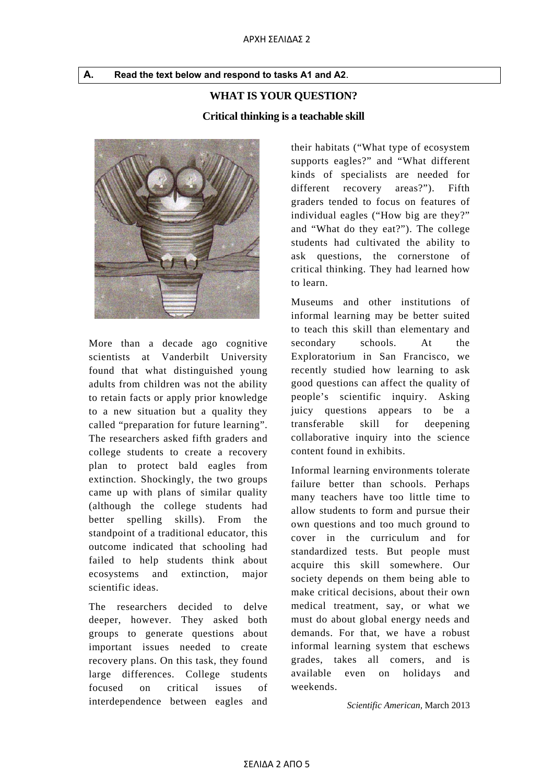**Α. Read the text below and respond to tasks A1 and A2**.

#### **WHAT IS YOUR QUESTION?**

**Critical thinking is a teachable skill** 



More than a decade ago cognitive scientists at Vanderbilt University found that what distinguished young adults from children was not the ability to retain facts or apply prior knowledge to a new situation but a quality they called "preparation for future learning". The researchers asked fifth graders and college students to create a recovery plan to protect bald eagles from extinction. Shockingly, the two groups came up with plans of similar quality (although the college students had better spelling skills). From the standpoint of a traditional educator, this outcome indicated that schooling had failed to help students think about ecosystems and extinction, major scientific ideas.

The researchers decided to delve deeper, however. They asked both groups to generate questions about important issues needed to create recovery plans. On this task, they found large differences. College students focused on critical issues of interdependence between eagles and

their habitats ("What type of ecosystem supports eagles?" and "What different kinds of specialists are needed for different recovery areas?"). Fifth graders tended to focus on features of individual eagles ("How big are they?" and "What do they eat?"). The college students had cultivated the ability to ask questions, the cornerstone of critical thinking. They had learned how to learn.

Museums and other institutions of informal learning may be better suited to teach this skill than elementary and secondary schools. At the Exploratorium in San Francisco, we recently studied how learning to ask good questions can affect the quality of people's scientific inquiry. Asking juicy questions appears to be a transferable skill for deepening collaborative inquiry into the science content found in exhibits.

Informal learning environments tolerate failure better than schools. Perhaps many teachers have too little time to allow students to form and pursue their own questions and too much ground to cover in the curriculum and for standardized tests. But people must acquire this skill somewhere. Our society depends on them being able to make critical decisions, about their own medical treatment, say, or what we must do about global energy needs and demands. For that, we have a robust informal learning system that eschews grades, takes all comers, and is available even on holidays and weekends.

*Scientific American,* March 2013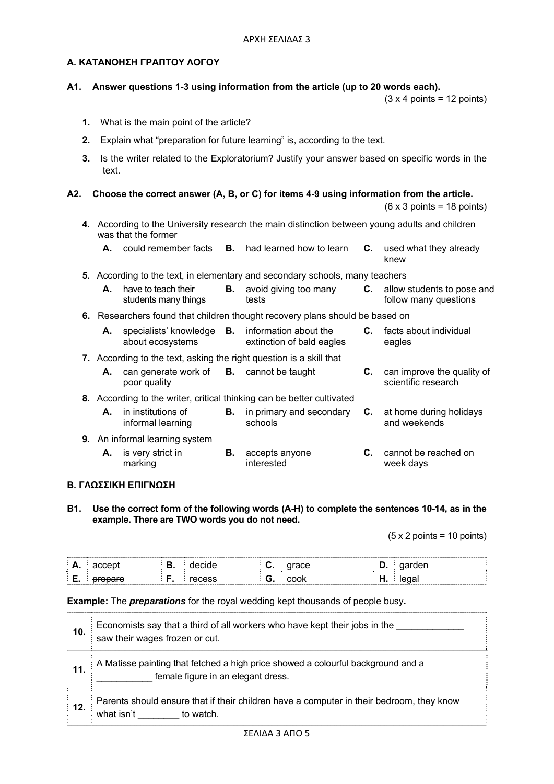#### **Α. ΚΑΤΑΝΟΗΣΗ ΓΡΑΠΤΟΥ ΛΟΓΟΥ**

#### **A1. Answer questions 1-3 using information from the article (up to 20 words each).**

 $(3 \times 4 \text{ points} = 12 \text{ points})$ 

- **1.** What is the main point of the article?
- **2.** Explain what "preparation for future learning" is, according to the text.
- **3.** Is the writer related to the Exploratorium? Justify your answer based on specific words in the text.

#### **A2. Choose the correct answer (A, B, or C) for items 4-9 using information from the article.**

 $(6 \times 3 \text{ points} = 18 \text{ points})$ 

- **4.** According to the University research the main distinction between young adults and children was that the former
	- **A.** could remember facts **B.** had learned how to learn **C.** used what they already knew

**5.** According to the text, in elementary and secondary schools, many teachers

| <b>A.</b> have to teach their | <b>B.</b> avoid giving too many | allow students to pose and |
|-------------------------------|---------------------------------|----------------------------|
| students many things          | tests                           | follow many questions      |

**6.** Researchers found that children thought recovery plans should be based on

| А. | specialists' knowledge <b>B.</b><br>about ecosystems       | information about the<br>extinction of bald eagles                     | C. | facts about individual<br>eagles                            |
|----|------------------------------------------------------------|------------------------------------------------------------------------|----|-------------------------------------------------------------|
|    |                                                            | 7. According to the text, asking the right question is a skill that    |    |                                                             |
| А. | can generate work of $B.$ cannot be taught<br>poor quality |                                                                        |    | <b>C.</b> can improve the quality of<br>scientific research |
|    |                                                            | 8. According to the writer, critical thinking can be better cultivated |    |                                                             |
|    |                                                            |                                                                        |    |                                                             |

| <b>A.</b> in institutions of<br>informal learning | <b>B.</b> in primary and secondary <b>C.</b> at home during holidays<br>schools | and weekends |
|---------------------------------------------------|---------------------------------------------------------------------------------|--------------|
|                                                   |                                                                                 |              |

- **9.** An informal learning system
	- **A.** is very strict in marking **B.** accepts anyone interested **C.** cannot be reached on week days

#### **Β. ΓΛΩΣΣΙΚΗ ΕΠΙΓΝΩΣΗ**

**B1. Use the correct form of the following words (A-H) to complete the sentences 10-14, as in the example. There are TWO words you do not need.** 

 $(5 \times 2 \text{ points} = 10 \text{ points})$ 

| −… | . . | w. | ----              |
|----|-----|----|-------------------|
|    |     | w. | uu<br>.<br>$\sim$ |

#### **Example:** The *preparations* for the royal wedding kept thousands of people busy**.**

| ∶ 10.  | Economists say that a third of all workers who have kept their jobs in the<br>saw their wages frozen or cut.           |
|--------|------------------------------------------------------------------------------------------------------------------------|
| ∶ 11.  | A Matisse painting that fetched a high price showed a colourful background and a<br>female figure in an elegant dress. |
| ั่ 12. | Parents should ensure that if their children have a computer in their bedroom, they know<br>what isn't<br>to watch.    |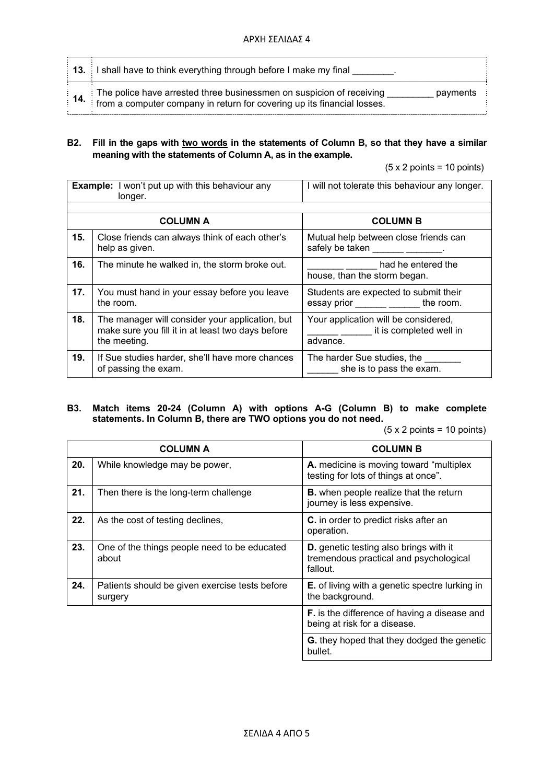| $\frac{1}{2}$ 13. I shall have to think everything through before I make my final                                                                                                 |
|-----------------------------------------------------------------------------------------------------------------------------------------------------------------------------------|
| <b>14.</b> The police have arrested three businessmen on suspicion of receiving $\frac{1}{2}$ from a computer company in return for covering up its financial losses.<br>payments |

#### **B2. Fill in the gaps with two words in the statements of Column B, so that they have a similar meaning with the statements of Column A, as in the example.**

 $(5 \times 2 \text{ points} = 10 \text{ points})$ 

|     | <b>Example:</b> I won't put up with this behaviour any<br>longer.                                                    | I will not tolerate this behaviour any longer.                                |
|-----|----------------------------------------------------------------------------------------------------------------------|-------------------------------------------------------------------------------|
|     |                                                                                                                      |                                                                               |
|     | <b>COLUMN A</b>                                                                                                      | <b>COLUMN B</b>                                                               |
| 15. | Close friends can always think of each other's<br>help as given.                                                     | Mutual help between close friends can<br>safely be taken _____________.       |
| 16. | The minute he walked in, the storm broke out.                                                                        | had he entered the<br>house, than the storm began.                            |
| 17. | You must hand in your essay before you leave<br>the room.                                                            | Students are expected to submit their<br>essay prior ______ _______ the room. |
| 18. | The manager will consider your application, but<br>make sure you fill it in at least two days before<br>the meeting. | Your application will be considered,<br>it is completed well in<br>advance.   |
| 19. | If Sue studies harder, she'll have more chances<br>of passing the exam.                                              | The harder Sue studies, the<br>she is to pass the exam.                       |

#### **B3. Match items 20-24 (Column A) with options A-G (Column B) to make complete statements. In Column B, there are TWO options you do not need.**

(5 x 2 points = 10 points)

|     | <b>COLUMN A</b>                                           | <b>COLUMN B</b>                                                                                     |
|-----|-----------------------------------------------------------|-----------------------------------------------------------------------------------------------------|
| 20. | While knowledge may be power,                             | A. medicine is moving toward "multiplex"<br>testing for lots of things at once".                    |
| 21. | Then there is the long-term challenge                     | <b>B.</b> when people realize that the return<br>journey is less expensive.                         |
| 22. | As the cost of testing declines,                          | <b>C.</b> in order to predict risks after an<br>operation.                                          |
| 23. | One of the things people need to be educated<br>about     | <b>D.</b> genetic testing also brings with it<br>tremendous practical and psychological<br>fallout. |
| 24. | Patients should be given exercise tests before<br>surgery | <b>E.</b> of living with a genetic spectre lurking in<br>the background.                            |
|     |                                                           | <b>F.</b> is the difference of having a disease and<br>being at risk for a disease.                 |
|     |                                                           | <b>G.</b> they hoped that they dodged the genetic<br>bullet.                                        |